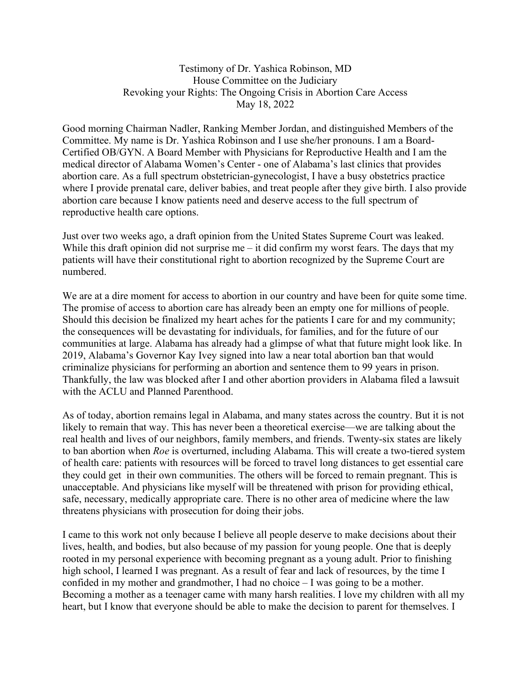Testimony of Dr. Yashica Robinson, MD House Committee on the Judiciary Revoking your Rights: The Ongoing Crisis in Abortion Care Access May 18, 2022

Good morning Chairman Nadler, Ranking Member Jordan, and distinguished Members of the Committee. My name is Dr. Yashica Robinson and I use she/her pronouns. I am a Board-Certified OB/GYN. A Board Member with Physicians for Reproductive Health and I am the medical director of Alabama Women's Center - one of Alabama's last clinics that provides abortion care. As a full spectrum obstetrician-gynecologist, I have a busy obstetrics practice where I provide prenatal care, deliver babies, and treat people after they give birth. I also provide abortion care because I know patients need and deserve access to the full spectrum of reproductive health care options.

Just over two weeks ago, a draft opinion from the United States Supreme Court was leaked. While this draft opinion did not surprise me – it did confirm my worst fears. The days that my patients will have their constitutional right to abortion recognized by the Supreme Court are numbered.

We are at a dire moment for access to abortion in our country and have been for quite some time. The promise of access to abortion care has already been an empty one for millions of people. Should this decision be finalized my heart aches for the patients I care for and my community; the consequences will be devastating for individuals, for families, and for the future of our communities at large. Alabama has already had a glimpse of what that future might look like. In 2019, Alabama's Governor Kay Ivey signed into law a near total abortion ban that would criminalize physicians for performing an abortion and sentence them to 99 years in prison. Thankfully, the law was blocked after I and other abortion providers in Alabama filed a lawsuit with the ACLU and Planned Parenthood.

As of today, abortion remains legal in Alabama, and many states across the country. But it is not likely to remain that way. This has never been a theoretical exercise—we are talking about the real health and lives of our neighbors, family members, and friends. Twenty-six states are likely to ban abortion when Roe is overturned, including Alabama. This will create a two-tiered system of health care: patients with resources will be forced to travel long distances to get essential care they could get in their own communities. The others will be forced to remain pregnant. This is unacceptable. And physicians like myself will be threatened with prison for providing ethical, safe, necessary, medically appropriate care. There is no other area of medicine where the law threatens physicians with prosecution for doing their jobs.

I came to this work not only because I believe all people deserve to make decisions about their lives, health, and bodies, but also because of my passion for young people. One that is deeply rooted in my personal experience with becoming pregnant as a young adult. Prior to finishing high school, I learned I was pregnant. As a result of fear and lack of resources, by the time I confided in my mother and grandmother, I had no choice – I was going to be a mother. Becoming a mother as a teenager came with many harsh realities. I love my children with all my heart, but I know that everyone should be able to make the decision to parent for themselves. I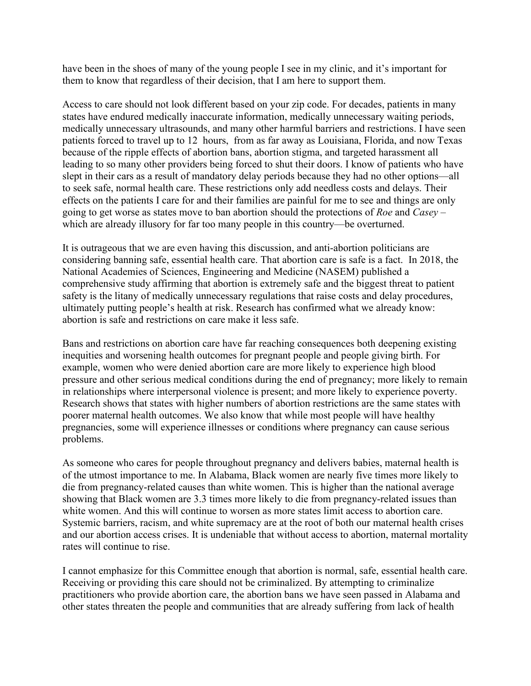have been in the shoes of many of the young people I see in my clinic, and it's important for them to know that regardless of their decision, that I am here to support them.

Access to care should not look different based on your zip code. For decades, patients in many states have endured medically inaccurate information, medically unnecessary waiting periods, medically unnecessary ultrasounds, and many other harmful barriers and restrictions. I have seen patients forced to travel up to 12 hours, from as far away as Louisiana, Florida, and now Texas because of the ripple effects of abortion bans, abortion stigma, and targeted harassment all leading to so many other providers being forced to shut their doors. I know of patients who have slept in their cars as a result of mandatory delay periods because they had no other options—all to seek safe, normal health care. These restrictions only add needless costs and delays. Their effects on the patients I care for and their families are painful for me to see and things are only going to get worse as states move to ban abortion should the protections of Roe and Casey – which are already illusory for far too many people in this country—be overturned.

It is outrageous that we are even having this discussion, and anti-abortion politicians are considering banning safe, essential health care. That abortion care is safe is a fact. In 2018, the National Academies of Sciences, Engineering and Medicine (NASEM) published a comprehensive study affirming that abortion is extremely safe and the biggest threat to patient safety is the litany of medically unnecessary regulations that raise costs and delay procedures, ultimately putting people's health at risk. Research has confirmed what we already know: abortion is safe and restrictions on care make it less safe.

Bans and restrictions on abortion care have far reaching consequences both deepening existing inequities and worsening health outcomes for pregnant people and people giving birth. For example, women who were denied abortion care are more likely to experience high blood pressure and other serious medical conditions during the end of pregnancy; more likely to remain in relationships where interpersonal violence is present; and more likely to experience poverty. Research shows that states with higher numbers of abortion restrictions are the same states with poorer maternal health outcomes. We also know that while most people will have healthy pregnancies, some will experience illnesses or conditions where pregnancy can cause serious problems.

As someone who cares for people throughout pregnancy and delivers babies, maternal health is of the utmost importance to me. In Alabama, Black women are nearly five times more likely to die from pregnancy-related causes than white women. This is higher than the national average showing that Black women are 3.3 times more likely to die from pregnancy-related issues than white women. And this will continue to worsen as more states limit access to abortion care. Systemic barriers, racism, and white supremacy are at the root of both our maternal health crises and our abortion access crises. It is undeniable that without access to abortion, maternal mortality rates will continue to rise.

I cannot emphasize for this Committee enough that abortion is normal, safe, essential health care. Receiving or providing this care should not be criminalized. By attempting to criminalize practitioners who provide abortion care, the abortion bans we have seen passed in Alabama and other states threaten the people and communities that are already suffering from lack of health